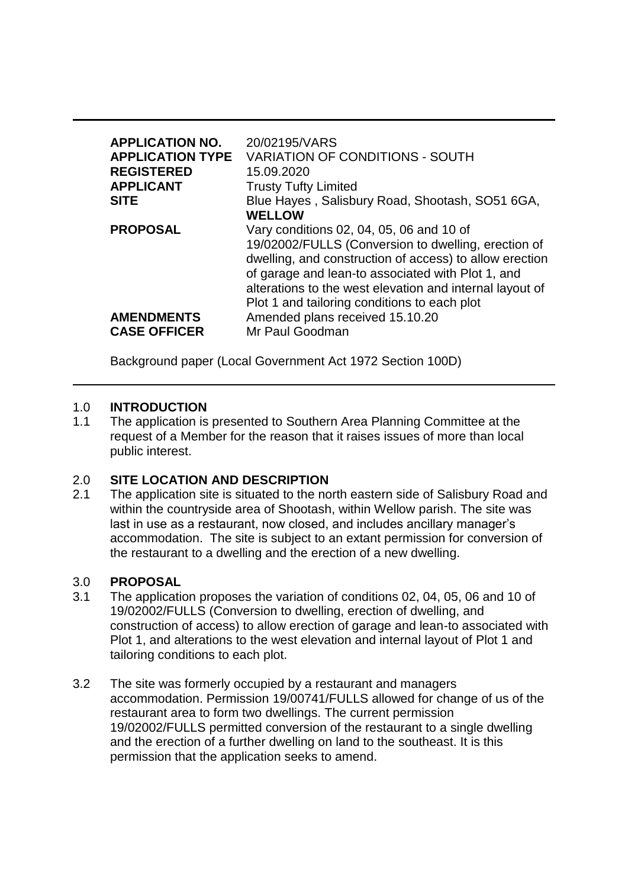| <b>APPLICATION NO.</b><br><b>APPLICATION TYPE</b><br><b>REGISTERED</b><br><b>APPLICANT</b><br><b>SITE</b> | 20/02195/VARS<br><b>VARIATION OF CONDITIONS - SOUTH</b><br>15.09.2020<br><b>Trusty Tufty Limited</b><br>Blue Hayes, Salisbury Road, Shootash, SO51 6GA,<br><b>WELLOW</b>                                                                                                                                                                                                          |
|-----------------------------------------------------------------------------------------------------------|-----------------------------------------------------------------------------------------------------------------------------------------------------------------------------------------------------------------------------------------------------------------------------------------------------------------------------------------------------------------------------------|
| <b>PROPOSAL</b><br><b>AMENDMENTS</b><br><b>CASE OFFICER</b>                                               | Vary conditions 02, 04, 05, 06 and 10 of<br>19/02002/FULLS (Conversion to dwelling, erection of<br>dwelling, and construction of access) to allow erection<br>of garage and lean-to associated with Plot 1, and<br>alterations to the west elevation and internal layout of<br>Plot 1 and tailoring conditions to each plot<br>Amended plans received 15.10.20<br>Mr Paul Goodman |

Background paper (Local Government Act 1972 Section 100D)

### 1.0 **INTRODUCTION**

1.1 The application is presented to Southern Area Planning Committee at the request of a Member for the reason that it raises issues of more than local public interest.

### 2.0 **SITE LOCATION AND DESCRIPTION**

2.1 The application site is situated to the north eastern side of Salisbury Road and within the countryside area of Shootash, within Wellow parish. The site was last in use as a restaurant, now closed, and includes ancillary manager's accommodation. The site is subject to an extant permission for conversion of the restaurant to a dwelling and the erection of a new dwelling.

### 3.0 **PROPOSAL**

- 3.1 The application proposes the variation of conditions 02, 04, 05, 06 and 10 of 19/02002/FULLS (Conversion to dwelling, erection of dwelling, and construction of access) to allow erection of garage and lean-to associated with Plot 1, and alterations to the west elevation and internal layout of Plot 1 and tailoring conditions to each plot.
- 3.2 The site was formerly occupied by a restaurant and managers accommodation. Permission 19/00741/FULLS allowed for change of us of the restaurant area to form two dwellings. The current permission 19/02002/FULLS permitted conversion of the restaurant to a single dwelling and the erection of a further dwelling on land to the southeast. It is this permission that the application seeks to amend.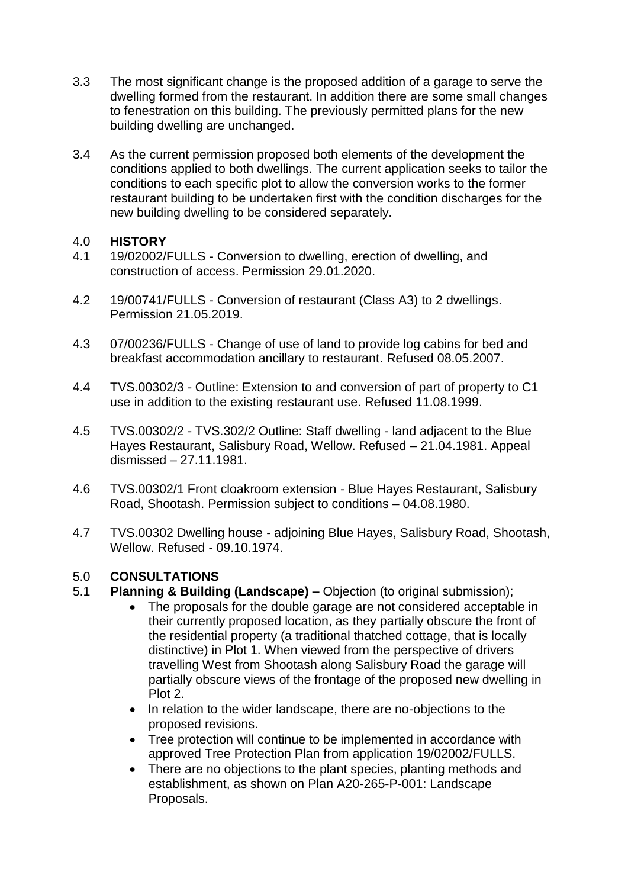- 3.3 The most significant change is the proposed addition of a garage to serve the dwelling formed from the restaurant. In addition there are some small changes to fenestration on this building. The previously permitted plans for the new building dwelling are unchanged.
- 3.4 As the current permission proposed both elements of the development the conditions applied to both dwellings. The current application seeks to tailor the conditions to each specific plot to allow the conversion works to the former restaurant building to be undertaken first with the condition discharges for the new building dwelling to be considered separately.

### 4.0 **HISTORY**

- 4.1 19/02002/FULLS Conversion to dwelling, erection of dwelling, and construction of access. Permission 29.01.2020.
- 4.2 19/00741/FULLS Conversion of restaurant (Class A3) to 2 dwellings. Permission 21.05.2019.
- 4.3 07/00236/FULLS Change of use of land to provide log cabins for bed and breakfast accommodation ancillary to restaurant. Refused 08.05.2007.
- 4.4 TVS.00302/3 Outline: Extension to and conversion of part of property to C1 use in addition to the existing restaurant use. Refused 11.08.1999.
- 4.5 TVS.00302/2 TVS.302/2 Outline: Staff dwelling land adjacent to the Blue Hayes Restaurant, Salisbury Road, Wellow. Refused – 21.04.1981. Appeal dismissed – 27.11.1981.
- 4.6 TVS.00302/1 Front cloakroom extension Blue Hayes Restaurant, Salisbury Road, Shootash. Permission subject to conditions – 04.08.1980.
- 4.7 TVS.00302 Dwelling house adjoining Blue Hayes, Salisbury Road, Shootash, Wellow. Refused - 09.10.1974.

## 5.0 **CONSULTATIONS**

- 5.1 **Planning & Building (Landscape) –** Objection (to original submission);
	- The proposals for the double garage are not considered acceptable in their currently proposed location, as they partially obscure the front of the residential property (a traditional thatched cottage, that is locally distinctive) in Plot 1. When viewed from the perspective of drivers travelling West from Shootash along Salisbury Road the garage will partially obscure views of the frontage of the proposed new dwelling in Plot 2.
	- In relation to the wider landscape, there are no-objections to the proposed revisions.
	- Tree protection will continue to be implemented in accordance with approved Tree Protection Plan from application 19/02002/FULLS.
	- There are no objections to the plant species, planting methods and establishment, as shown on Plan A20-265-P-001: Landscape Proposals.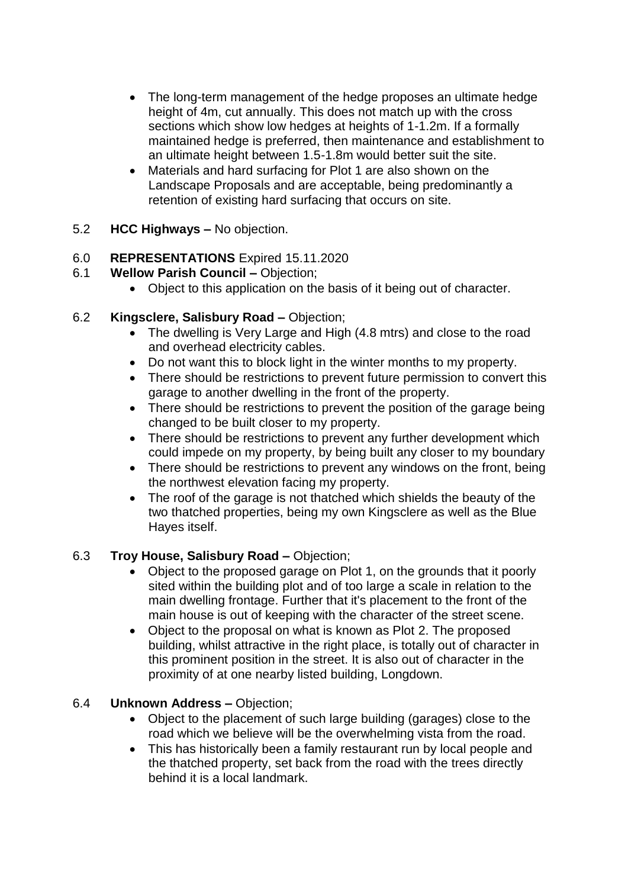- The long-term management of the hedge proposes an ultimate hedge height of 4m, cut annually. This does not match up with the cross sections which show low hedges at heights of 1-1.2m. If a formally maintained hedge is preferred, then maintenance and establishment to an ultimate height between 1.5-1.8m would better suit the site.
- Materials and hard surfacing for Plot 1 are also shown on the Landscape Proposals and are acceptable, being predominantly a retention of existing hard surfacing that occurs on site.
- 5.2 **HCC Highways –** No objection.

## 6.0 **REPRESENTATIONS** Expired 15.11.2020

- 6.1 **Wellow Parish Council –** Objection;
	- Object to this application on the basis of it being out of character.
- 6.2 **Kingsclere, Salisbury Road –** Objection;
	- The dwelling is Very Large and High (4.8 mtrs) and close to the road and overhead electricity cables.
	- Do not want this to block light in the winter months to my property.
	- There should be restrictions to prevent future permission to convert this garage to another dwelling in the front of the property.
	- There should be restrictions to prevent the position of the garage being changed to be built closer to my property.
	- There should be restrictions to prevent any further development which could impede on my property, by being built any closer to my boundary
	- There should be restrictions to prevent any windows on the front, being the northwest elevation facing my property.
	- The roof of the garage is not thatched which shields the beauty of the two thatched properties, being my own Kingsclere as well as the Blue Hayes itself.

# 6.3 **Troy House, Salisbury Road –** Objection;

- Object to the proposed garage on Plot 1, on the grounds that it poorly sited within the building plot and of too large a scale in relation to the main dwelling frontage. Further that it's placement to the front of the main house is out of keeping with the character of the street scene.
- Object to the proposal on what is known as Plot 2. The proposed building, whilst attractive in the right place, is totally out of character in this prominent position in the street. It is also out of character in the proximity of at one nearby listed building, Longdown.

## 6.4 **Unknown Address –** Objection;

- Object to the placement of such large building (garages) close to the road which we believe will be the overwhelming vista from the road.
- This has historically been a family restaurant run by local people and the thatched property, set back from the road with the trees directly behind it is a local landmark.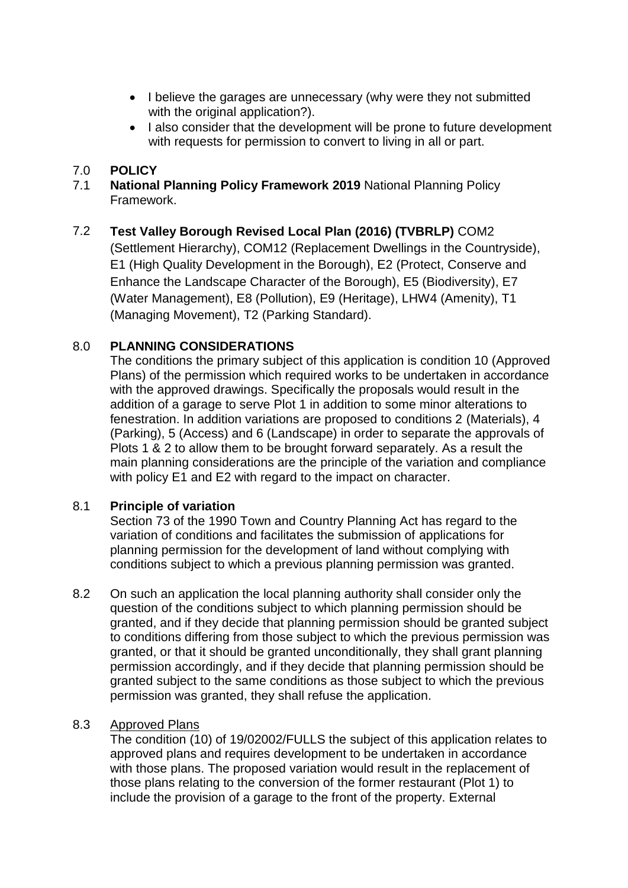- I believe the garages are unnecessary (why were they not submitted with the original application?).
- I also consider that the development will be prone to future development with requests for permission to convert to living in all or part.

## 7.0 **POLICY**

7.1 **National Planning Policy Framework 2019** National Planning Policy Framework.

# 7.2 **Test Valley Borough Revised Local Plan (2016) (TVBRLP)** COM2

(Settlement Hierarchy), COM12 (Replacement Dwellings in the Countryside), E1 (High Quality Development in the Borough), E2 (Protect, Conserve and Enhance the Landscape Character of the Borough), E5 (Biodiversity), E7 (Water Management), E8 (Pollution), E9 (Heritage), LHW4 (Amenity), T1 (Managing Movement), T2 (Parking Standard).

## 8.0 **PLANNING CONSIDERATIONS**

The conditions the primary subject of this application is condition 10 (Approved Plans) of the permission which required works to be undertaken in accordance with the approved drawings. Specifically the proposals would result in the addition of a garage to serve Plot 1 in addition to some minor alterations to fenestration. In addition variations are proposed to conditions 2 (Materials), 4 (Parking), 5 (Access) and 6 (Landscape) in order to separate the approvals of Plots 1 & 2 to allow them to be brought forward separately. As a result the main planning considerations are the principle of the variation and compliance with policy E1 and E2 with regard to the impact on character.

## 8.1 **Principle of variation**

Section 73 of the 1990 Town and Country Planning Act has regard to the variation of conditions and facilitates the submission of applications for planning permission for the development of land without complying with conditions subject to which a previous planning permission was granted.

8.2 On such an application the local planning authority shall consider only the question of the conditions subject to which planning permission should be granted, and if they decide that planning permission should be granted subject to conditions differing from those subject to which the previous permission was granted, or that it should be granted unconditionally, they shall grant planning permission accordingly, and if they decide that planning permission should be granted subject to the same conditions as those subject to which the previous permission was granted, they shall refuse the application.

## 8.3 Approved Plans

The condition (10) of 19/02002/FULLS the subject of this application relates to approved plans and requires development to be undertaken in accordance with those plans. The proposed variation would result in the replacement of those plans relating to the conversion of the former restaurant (Plot 1) to include the provision of a garage to the front of the property. External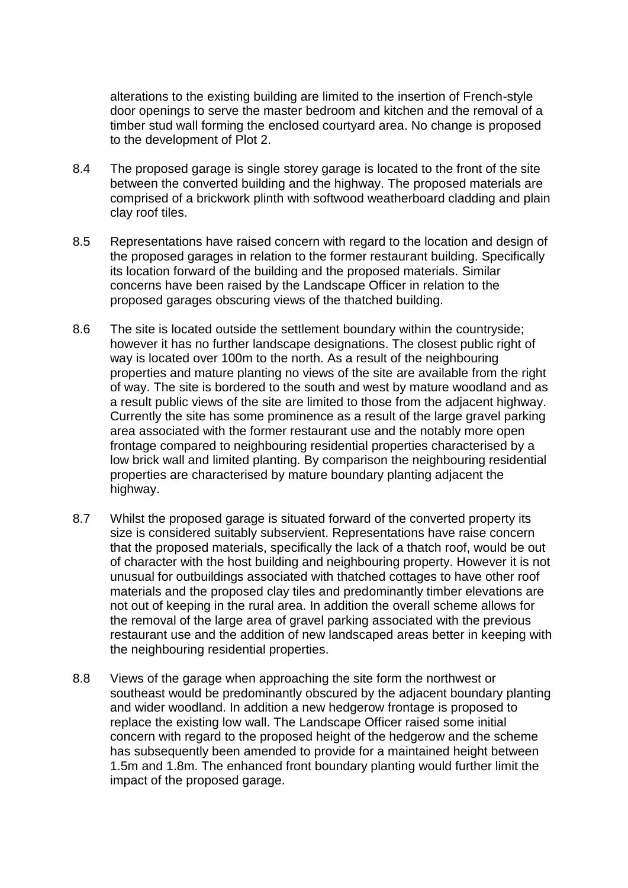alterations to the existing building are limited to the insertion of French-style door openings to serve the master bedroom and kitchen and the removal of a timber stud wall forming the enclosed courtyard area. No change is proposed to the development of Plot 2.

- 8.4 The proposed garage is single storey garage is located to the front of the site between the converted building and the highway. The proposed materials are comprised of a brickwork plinth with softwood weatherboard cladding and plain clay roof tiles.
- 8.5 Representations have raised concern with regard to the location and design of the proposed garages in relation to the former restaurant building. Specifically its location forward of the building and the proposed materials. Similar concerns have been raised by the Landscape Officer in relation to the proposed garages obscuring views of the thatched building.
- 8.6 The site is located outside the settlement boundary within the countryside; however it has no further landscape designations. The closest public right of way is located over 100m to the north. As a result of the neighbouring properties and mature planting no views of the site are available from the right of way. The site is bordered to the south and west by mature woodland and as a result public views of the site are limited to those from the adjacent highway. Currently the site has some prominence as a result of the large gravel parking area associated with the former restaurant use and the notably more open frontage compared to neighbouring residential properties characterised by a low brick wall and limited planting. By comparison the neighbouring residential properties are characterised by mature boundary planting adjacent the highway.
- 8.7 Whilst the proposed garage is situated forward of the converted property its size is considered suitably subservient. Representations have raise concern that the proposed materials, specifically the lack of a thatch roof, would be out of character with the host building and neighbouring property. However it is not unusual for outbuildings associated with thatched cottages to have other roof materials and the proposed clay tiles and predominantly timber elevations are not out of keeping in the rural area. In addition the overall scheme allows for the removal of the large area of gravel parking associated with the previous restaurant use and the addition of new landscaped areas better in keeping with the neighbouring residential properties.
- 8.8 Views of the garage when approaching the site form the northwest or southeast would be predominantly obscured by the adjacent boundary planting and wider woodland. In addition a new hedgerow frontage is proposed to replace the existing low wall. The Landscape Officer raised some initial concern with regard to the proposed height of the hedgerow and the scheme has subsequently been amended to provide for a maintained height between 1.5m and 1.8m. The enhanced front boundary planting would further limit the impact of the proposed garage.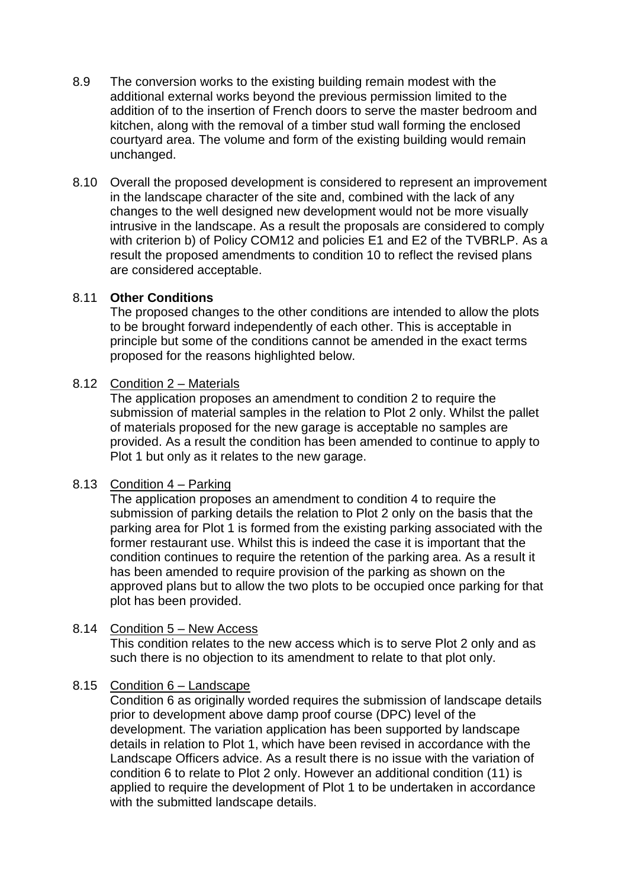- 8.9 The conversion works to the existing building remain modest with the additional external works beyond the previous permission limited to the addition of to the insertion of French doors to serve the master bedroom and kitchen, along with the removal of a timber stud wall forming the enclosed courtyard area. The volume and form of the existing building would remain unchanged.
- 8.10 Overall the proposed development is considered to represent an improvement in the landscape character of the site and, combined with the lack of any changes to the well designed new development would not be more visually intrusive in the landscape. As a result the proposals are considered to comply with criterion b) of Policy COM12 and policies E1 and E2 of the TVBRLP. As a result the proposed amendments to condition 10 to reflect the revised plans are considered acceptable.

### 8.11 **Other Conditions**

The proposed changes to the other conditions are intended to allow the plots to be brought forward independently of each other. This is acceptable in principle but some of the conditions cannot be amended in the exact terms proposed for the reasons highlighted below.

### 8.12 Condition 2 – Materials

The application proposes an amendment to condition 2 to require the submission of material samples in the relation to Plot 2 only. Whilst the pallet of materials proposed for the new garage is acceptable no samples are provided. As a result the condition has been amended to continue to apply to Plot 1 but only as it relates to the new garage.

## 8.13 Condition 4 – Parking

The application proposes an amendment to condition 4 to require the submission of parking details the relation to Plot 2 only on the basis that the parking area for Plot 1 is formed from the existing parking associated with the former restaurant use. Whilst this is indeed the case it is important that the condition continues to require the retention of the parking area. As a result it has been amended to require provision of the parking as shown on the approved plans but to allow the two plots to be occupied once parking for that plot has been provided.

### 8.14 Condition 5 – New Access

This condition relates to the new access which is to serve Plot 2 only and as such there is no objection to its amendment to relate to that plot only.

## 8.15 Condition 6 – Landscape

Condition 6 as originally worded requires the submission of landscape details prior to development above damp proof course (DPC) level of the development. The variation application has been supported by landscape details in relation to Plot 1, which have been revised in accordance with the Landscape Officers advice. As a result there is no issue with the variation of condition 6 to relate to Plot 2 only. However an additional condition (11) is applied to require the development of Plot 1 to be undertaken in accordance with the submitted landscape details.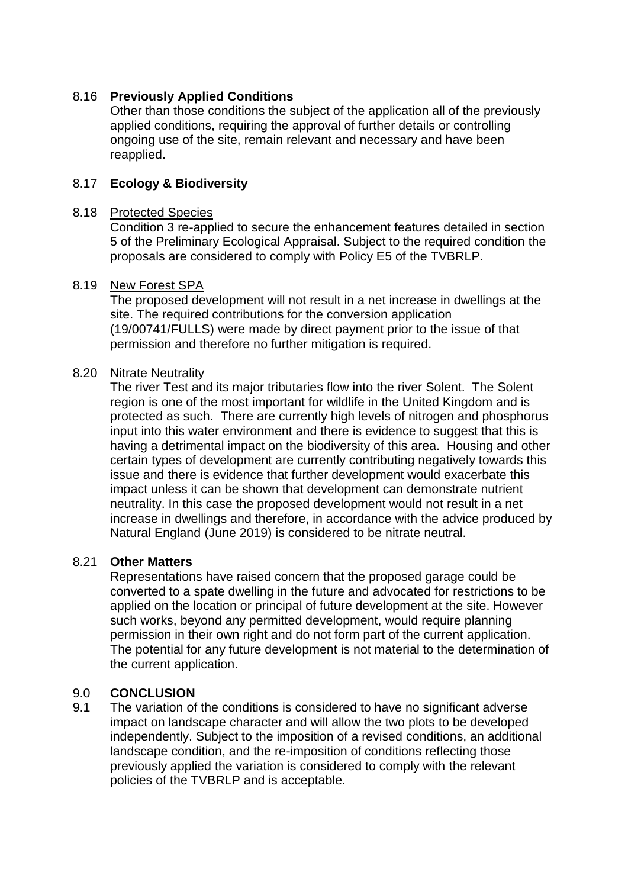### 8.16 **Previously Applied Conditions**

Other than those conditions the subject of the application all of the previously applied conditions, requiring the approval of further details or controlling ongoing use of the site, remain relevant and necessary and have been reapplied.

### 8.17 **Ecology & Biodiversity**

#### 8.18 Protected Species

Condition 3 re-applied to secure the enhancement features detailed in section 5 of the Preliminary Ecological Appraisal. Subject to the required condition the proposals are considered to comply with Policy E5 of the TVBRLP.

#### 8.19 New Forest SPA

The proposed development will not result in a net increase in dwellings at the site. The required contributions for the conversion application (19/00741/FULLS) were made by direct payment prior to the issue of that permission and therefore no further mitigation is required.

#### 8.20 Nitrate Neutrality

The river Test and its major tributaries flow into the river Solent. The Solent region is one of the most important for wildlife in the United Kingdom and is protected as such. There are currently high levels of nitrogen and phosphorus input into this water environment and there is evidence to suggest that this is having a detrimental impact on the biodiversity of this area. Housing and other certain types of development are currently contributing negatively towards this issue and there is evidence that further development would exacerbate this impact unless it can be shown that development can demonstrate nutrient neutrality. In this case the proposed development would not result in a net increase in dwellings and therefore, in accordance with the advice produced by Natural England (June 2019) is considered to be nitrate neutral.

### 8.21 **Other Matters**

Representations have raised concern that the proposed garage could be converted to a spate dwelling in the future and advocated for restrictions to be applied on the location or principal of future development at the site. However such works, beyond any permitted development, would require planning permission in their own right and do not form part of the current application. The potential for any future development is not material to the determination of the current application.

### 9.0 **CONCLUSION**

9.1 The variation of the conditions is considered to have no significant adverse impact on landscape character and will allow the two plots to be developed independently. Subject to the imposition of a revised conditions, an additional landscape condition, and the re-imposition of conditions reflecting those previously applied the variation is considered to comply with the relevant policies of the TVBRLP and is acceptable.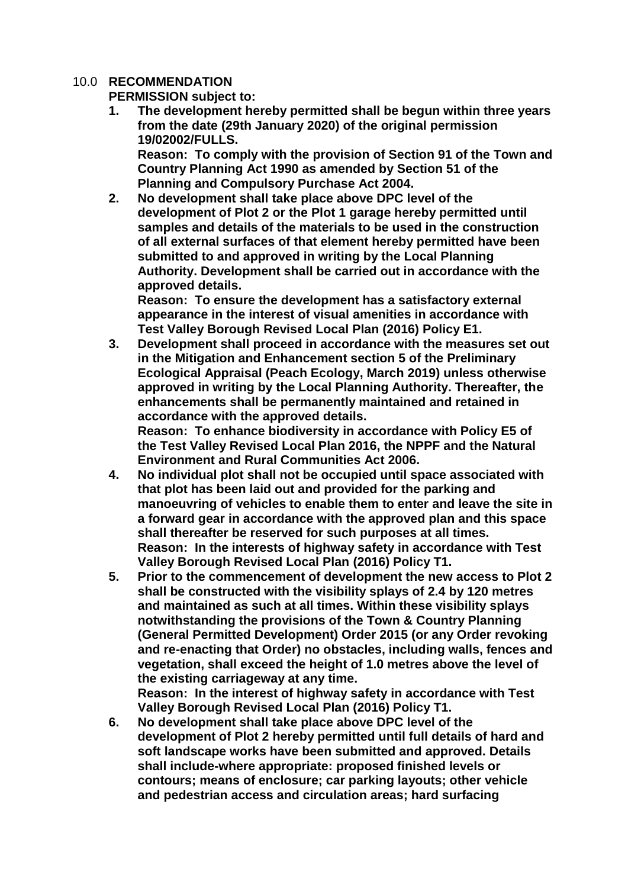### 10.0 **RECOMMENDATION**

**PERMISSION subject to:**

**1. The development hereby permitted shall be begun within three years from the date (29th January 2020) of the original permission 19/02002/FULLS.**

**Reason: To comply with the provision of Section 91 of the Town and Country Planning Act 1990 as amended by Section 51 of the Planning and Compulsory Purchase Act 2004.**

**2. No development shall take place above DPC level of the development of Plot 2 or the Plot 1 garage hereby permitted until samples and details of the materials to be used in the construction of all external surfaces of that element hereby permitted have been submitted to and approved in writing by the Local Planning Authority. Development shall be carried out in accordance with the approved details.**

**Reason: To ensure the development has a satisfactory external appearance in the interest of visual amenities in accordance with Test Valley Borough Revised Local Plan (2016) Policy E1.**

**3. Development shall proceed in accordance with the measures set out in the Mitigation and Enhancement section 5 of the Preliminary Ecological Appraisal (Peach Ecology, March 2019) unless otherwise approved in writing by the Local Planning Authority. Thereafter, the enhancements shall be permanently maintained and retained in accordance with the approved details. Reason: To enhance biodiversity in accordance with Policy E5 of** 

**the Test Valley Revised Local Plan 2016, the NPPF and the Natural Environment and Rural Communities Act 2006.**

- **4. No individual plot shall not be occupied until space associated with that plot has been laid out and provided for the parking and manoeuvring of vehicles to enable them to enter and leave the site in a forward gear in accordance with the approved plan and this space shall thereafter be reserved for such purposes at all times. Reason: In the interests of highway safety in accordance with Test Valley Borough Revised Local Plan (2016) Policy T1.**
- **5. Prior to the commencement of development the new access to Plot 2 shall be constructed with the visibility splays of 2.4 by 120 metres and maintained as such at all times. Within these visibility splays notwithstanding the provisions of the Town & Country Planning (General Permitted Development) Order 2015 (or any Order revoking and re-enacting that Order) no obstacles, including walls, fences and vegetation, shall exceed the height of 1.0 metres above the level of the existing carriageway at any time. Reason: In the interest of highway safety in accordance with Test**

**Valley Borough Revised Local Plan (2016) Policy T1.**

**6. No development shall take place above DPC level of the development of Plot 2 hereby permitted until full details of hard and soft landscape works have been submitted and approved. Details shall include-where appropriate: proposed finished levels or contours; means of enclosure; car parking layouts; other vehicle and pedestrian access and circulation areas; hard surfacing**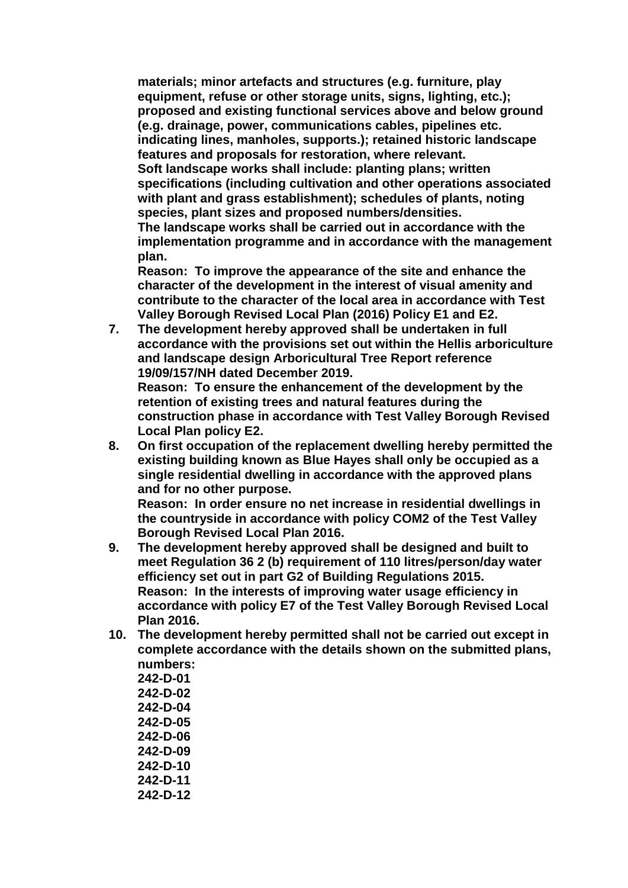**materials; minor artefacts and structures (e.g. furniture, play equipment, refuse or other storage units, signs, lighting, etc.); proposed and existing functional services above and below ground (e.g. drainage, power, communications cables, pipelines etc. indicating lines, manholes, supports.); retained historic landscape features and proposals for restoration, where relevant. Soft landscape works shall include: planting plans; written specifications (including cultivation and other operations associated with plant and grass establishment); schedules of plants, noting species, plant sizes and proposed numbers/densities. The landscape works shall be carried out in accordance with the implementation programme and in accordance with the management plan.**

**Reason: To improve the appearance of the site and enhance the character of the development in the interest of visual amenity and contribute to the character of the local area in accordance with Test Valley Borough Revised Local Plan (2016) Policy E1 and E2.**

**7. The development hereby approved shall be undertaken in full accordance with the provisions set out within the Hellis arboriculture and landscape design Arboricultural Tree Report reference 19/09/157/NH dated December 2019.** 

**Reason: To ensure the enhancement of the development by the retention of existing trees and natural features during the construction phase in accordance with Test Valley Borough Revised Local Plan policy E2.** 

**8. On first occupation of the replacement dwelling hereby permitted the existing building known as Blue Hayes shall only be occupied as a single residential dwelling in accordance with the approved plans and for no other purpose.**

**Reason: In order ensure no net increase in residential dwellings in the countryside in accordance with policy COM2 of the Test Valley Borough Revised Local Plan 2016.**

- **9. The development hereby approved shall be designed and built to meet Regulation 36 2 (b) requirement of 110 litres/person/day water efficiency set out in part G2 of Building Regulations 2015. Reason: In the interests of improving water usage efficiency in accordance with policy E7 of the Test Valley Borough Revised Local Plan 2016.**
- **10. The development hereby permitted shall not be carried out except in complete accordance with the details shown on the submitted plans, numbers:**

| 242-D-01 |
|----------|
| 242-D-02 |
| 242-D-04 |
| 242-D-05 |
| 242-D-06 |
| 242-D-09 |
| 242-D-10 |
| 242-D-11 |
| 242-D-12 |
|          |